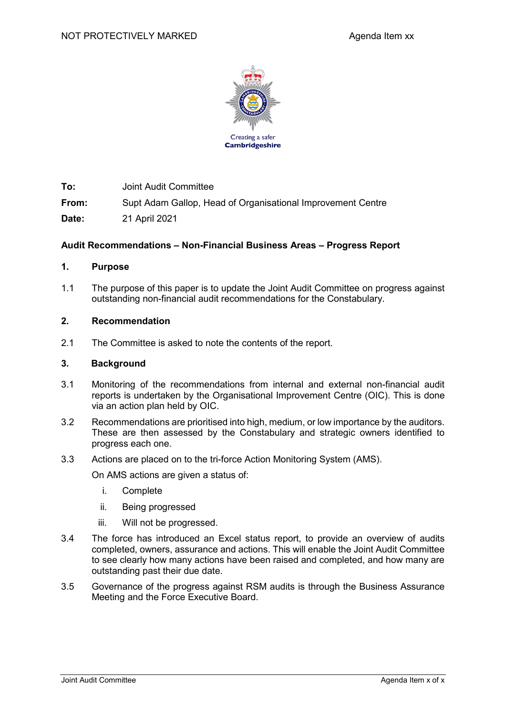

**To:** Joint Audit Committee

**From:** Supt Adam Gallop, Head of Organisational Improvement Centre

**Date:** 21 April 2021

## **Audit Recommendations – Non-Financial Business Areas – Progress Report**

## **1. Purpose**

1.1 The purpose of this paper is to update the Joint Audit Committee on progress against outstanding non-financial audit recommendations for the Constabulary.

### **2. Recommendation**

2.1 The Committee is asked to note the contents of the report.

#### **3. Background**

- 3.1 Monitoring of the recommendations from internal and external non-financial audit reports is undertaken by the Organisational Improvement Centre (OIC). This is done via an action plan held by OIC.
- 3.2 Recommendations are prioritised into high, medium, or low importance by the auditors. These are then assessed by the Constabulary and strategic owners identified to progress each one.
- 3.3 Actions are placed on to the tri-force Action Monitoring System (AMS).

On AMS actions are given a status of:

- i. Complete
- ii. Being progressed
- iii. Will not be progressed.
- 3.4 The force has introduced an Excel status report, to provide an overview of audits completed, owners, assurance and actions. This will enable the Joint Audit Committee to see clearly how many actions have been raised and completed, and how many are outstanding past their due date.
- 3.5 Governance of the progress against RSM audits is through the Business Assurance Meeting and the Force Executive Board.